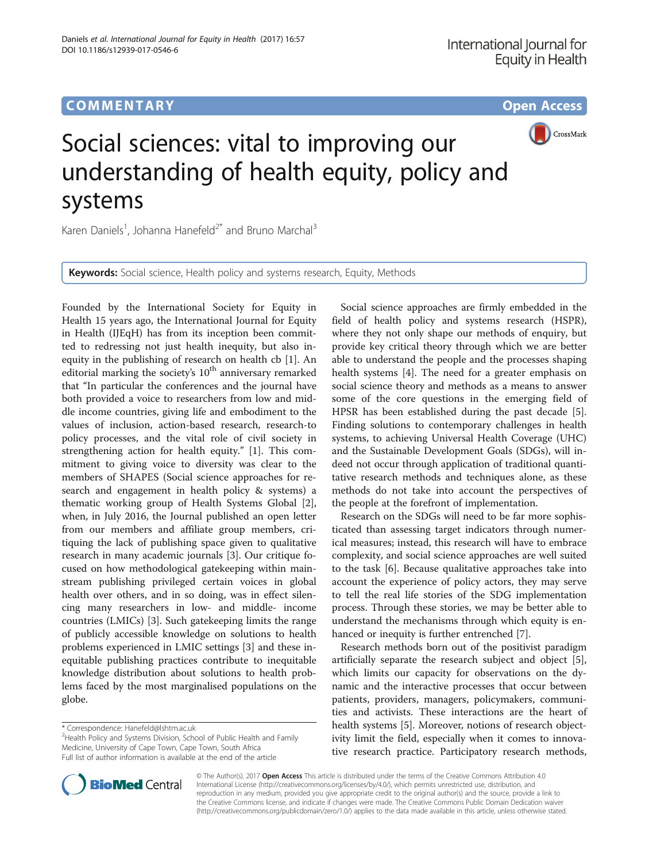## **COMMENTARY COMMENTARY Open Access**



# Social sciences: vital to improving our understanding of health equity, policy and systems

Karen Daniels<sup>1</sup>, Johanna Hanefeld<sup>2\*</sup> and Bruno Marchal<sup>3</sup>

Keywords: Social science, Health policy and systems research, Equity, Methods

Founded by the International Society for Equity in Health 15 years ago, the International Journal for Equity in Health (IJEqH) has from its inception been committed to redressing not just health inequity, but also inequity in the publishing of research on health cb [[1\]](#page-1-0). An editorial marking the society's  $10<sup>th</sup>$  anniversary remarked that "In particular the conferences and the journal have both provided a voice to researchers from low and middle income countries, giving life and embodiment to the values of inclusion, action-based research, research-to policy processes, and the vital role of civil society in strengthening action for health equity." [[1\]](#page-1-0). This commitment to giving voice to diversity was clear to the members of SHAPES (Social science approaches for research and engagement in health policy & systems) a thematic working group of Health Systems Global [\[2](#page-1-0)], when, in July 2016, the Journal published an open letter from our members and affiliate group members, critiquing the lack of publishing space given to qualitative research in many academic journals [\[3](#page-1-0)]. Our critique focused on how methodological gatekeeping within mainstream publishing privileged certain voices in global health over others, and in so doing, was in effect silencing many researchers in low- and middle- income countries (LMICs) [[3](#page-1-0)]. Such gatekeeping limits the range of publicly accessible knowledge on solutions to health problems experienced in LMIC settings [[3\]](#page-1-0) and these inequitable publishing practices contribute to inequitable knowledge distribution about solutions to health problems faced by the most marginalised populations on the globe.

\* Correspondence: [Hanefeld@lshtm.ac.uk](mailto:Hanefeld@lshtm.ac.uk) <sup>2</sup>

<sup>2</sup>Health Policy and Systems Division, School of Public Health and Family Medicine, University of Cape Town, Cape Town, South Africa Full list of author information is available at the end of the article

Social science approaches are firmly embedded in the field of health policy and systems research (HSPR), where they not only shape our methods of enquiry, but provide key critical theory through which we are better able to understand the people and the processes shaping health systems [\[4](#page-1-0)]. The need for a greater emphasis on social science theory and methods as a means to answer some of the core questions in the emerging field of HPSR has been established during the past decade [\[5](#page-1-0)]. Finding solutions to contemporary challenges in health systems, to achieving Universal Health Coverage (UHC) and the Sustainable Development Goals (SDGs), will indeed not occur through application of traditional quantitative research methods and techniques alone, as these methods do not take into account the perspectives of the people at the forefront of implementation.

Research on the SDGs will need to be far more sophisticated than assessing target indicators through numerical measures; instead, this research will have to embrace complexity, and social science approaches are well suited to the task [\[6](#page-1-0)]. Because qualitative approaches take into account the experience of policy actors, they may serve to tell the real life stories of the SDG implementation process. Through these stories, we may be better able to understand the mechanisms through which equity is enhanced or inequity is further entrenched [\[7\]](#page-1-0).

Research methods born out of the positivist paradigm artificially separate the research subject and object [\[5](#page-1-0)], which limits our capacity for observations on the dynamic and the interactive processes that occur between patients, providers, managers, policymakers, communities and activists. These interactions are the heart of health systems [[5\]](#page-1-0). Moreover, notions of research objectivity limit the field, especially when it comes to innovative research practice. Participatory research methods,



© The Author(s). 2017 **Open Access** This article is distributed under the terms of the Creative Commons Attribution 4.0 International License [\(http://creativecommons.org/licenses/by/4.0/](http://creativecommons.org/licenses/by/4.0/)), which permits unrestricted use, distribution, and reproduction in any medium, provided you give appropriate credit to the original author(s) and the source, provide a link to the Creative Commons license, and indicate if changes were made. The Creative Commons Public Domain Dedication waiver [\(http://creativecommons.org/publicdomain/zero/1.0/](http://creativecommons.org/publicdomain/zero/1.0/)) applies to the data made available in this article, unless otherwise stated.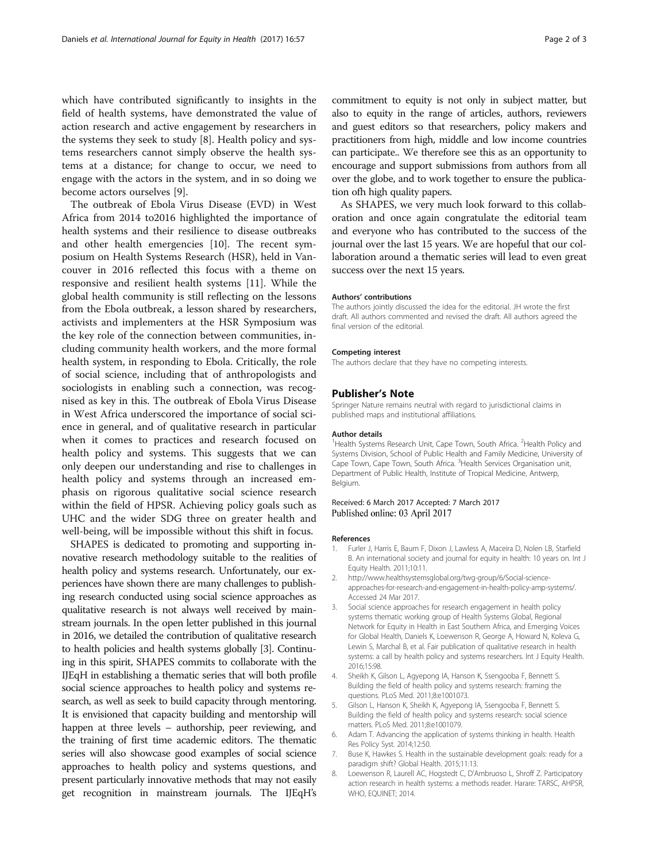<span id="page-1-0"></span>which have contributed significantly to insights in the field of health systems, have demonstrated the value of action research and active engagement by researchers in the systems they seek to study [8]. Health policy and systems researchers cannot simply observe the health systems at a distance; for change to occur, we need to engage with the actors in the system, and in so doing we become actors ourselves [\[9](#page-2-0)].

The outbreak of Ebola Virus Disease (EVD) in West Africa from 2014 to2016 highlighted the importance of health systems and their resilience to disease outbreaks and other health emergencies [[10\]](#page-2-0). The recent symposium on Health Systems Research (HSR), held in Vancouver in 2016 reflected this focus with a theme on responsive and resilient health systems [[11\]](#page-2-0). While the global health community is still reflecting on the lessons from the Ebola outbreak, a lesson shared by researchers, activists and implementers at the HSR Symposium was the key role of the connection between communities, including community health workers, and the more formal health system, in responding to Ebola. Critically, the role of social science, including that of anthropologists and sociologists in enabling such a connection, was recognised as key in this. The outbreak of Ebola Virus Disease in West Africa underscored the importance of social science in general, and of qualitative research in particular when it comes to practices and research focused on health policy and systems. This suggests that we can only deepen our understanding and rise to challenges in health policy and systems through an increased emphasis on rigorous qualitative social science research within the field of HPSR. Achieving policy goals such as UHC and the wider SDG three on greater health and well-being, will be impossible without this shift in focus.

SHAPES is dedicated to promoting and supporting innovative research methodology suitable to the realities of health policy and systems research. Unfortunately, our experiences have shown there are many challenges to publishing research conducted using social science approaches as qualitative research is not always well received by mainstream journals. In the open letter published in this journal in 2016, we detailed the contribution of qualitative research to health policies and health systems globally [3]. Continuing in this spirit, SHAPES commits to collaborate with the IJEqH in establishing a thematic series that will both profile social science approaches to health policy and systems research, as well as seek to build capacity through mentoring. It is envisioned that capacity building and mentorship will happen at three levels – authorship, peer reviewing, and the training of first time academic editors. The thematic series will also showcase good examples of social science approaches to health policy and systems questions, and present particularly innovative methods that may not easily get recognition in mainstream journals. The IJEqH's commitment to equity is not only in subject matter, but also to equity in the range of articles, authors, reviewers and guest editors so that researchers, policy makers and practitioners from high, middle and low income countries can participate.. We therefore see this as an opportunity to encourage and support submissions from authors from all over the globe, and to work together to ensure the publication ofh high quality papers.

As SHAPES, we very much look forward to this collaboration and once again congratulate the editorial team and everyone who has contributed to the success of the journal over the last 15 years. We are hopeful that our collaboration around a thematic series will lead to even great success over the next 15 years.

#### Authors' contributions

The authors jointly discussed the idea for the editorial. JH wrote the first draft. All authors commented and revised the draft. All authors agreed the final version of the editorial.

#### Competing interest

The authors declare that they have no competing interests.

#### Publisher's Note

Springer Nature remains neutral with regard to jurisdictional claims in published maps and institutional affiliations.

#### Author details

<sup>1</sup> Health Systems Research Unit, Cape Town, South Africa. <sup>2</sup> Health Policy and Systems Division, School of Public Health and Family Medicine, University of Cape Town, Cape Town, South Africa. <sup>3</sup> Health Services Organisation unit Department of Public Health, Institute of Tropical Medicine, Antwerp, Belgium.

### Received: 6 March 2017 Accepted: 7 March 2017 Published online: 03 April 2017

#### References

- 1. Furler J, Harris E, Baum F, Dixon J, Lawless A, Maceira D, Nolen LB, Starfield B. An international society and journal for equity in health: 10 years on. Int J Equity Health. 2011;10:11.
- 2. [http://www.healthsystemsglobal.org/twg-group/6/Social-science](http://www.healthsystemsglobal.org/twg-group/6/Social-science-approaches-for-research-and-engagement-in-health-policy-amp-systems/)[approaches-for-research-and-engagement-in-health-policy-amp-systems/.](http://www.healthsystemsglobal.org/twg-group/6/Social-science-approaches-for-research-and-engagement-in-health-policy-amp-systems/) Accessed 24 Mar 2017.
- 3. Social science approaches for research engagement in health policy systems thematic working group of Health Systems Global, Regional Network for Equity in Health in East Southern Africa, and Emerging Voices for Global Health, Daniels K, Loewenson R, George A, Howard N, Koleva G, Lewin S, Marchal B, et al. Fair publication of qualitative research in health systems: a call by health policy and systems researchers. Int J Equity Health. 2016;15:98.
- 4. Sheikh K, Gilson L, Agyepong IA, Hanson K, Ssengooba F, Bennett S. Building the field of health policy and systems research: framing the questions. PLoS Med. 2011;8:e1001073.
- 5. Gilson L, Hanson K, Sheikh K, Agyepong IA, Ssengooba F, Bennett S. Building the field of health policy and systems research: social science matters. PLoS Med. 2011;8:e1001079.
- 6. Adam T. Advancing the application of systems thinking in health. Health Res Policy Syst. 2014;12:50.
- 7. Buse K, Hawkes S. Health in the sustainable development goals: ready for a paradigm shift? Global Health. 2015;11:13.
- 8. Loewenson R, Laurell AC, Hogstedt C, D'Ambruoso L, Shroff Z. Participatory action research in health systems: a methods reader. Harare: TARSC, AHPSR, WHO, EQUINET; 2014.